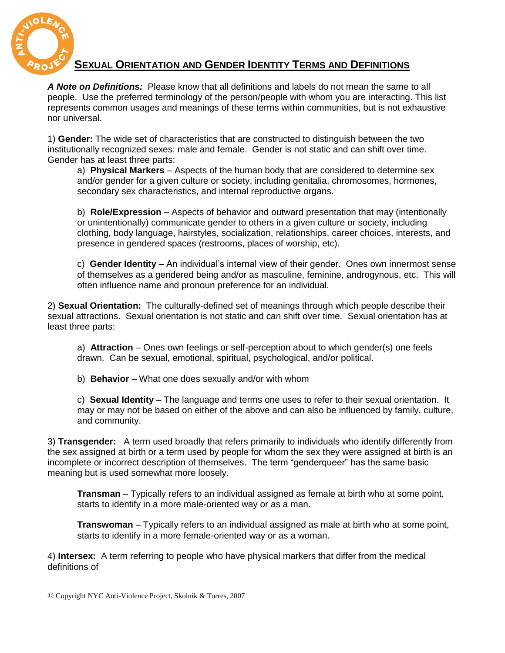

## **SEXUAL ORIENTATION AND GENDER IDENTITY TERMS AND DEFINITIONS**

*A Note on Definitions:* Please know that all definitions and labels do not mean the same to all people. Use the preferred terminology of the person/people with whom you are interacting. This list represents common usages and meanings of these terms within communities, but is not exhaustive nor universal.

1) **Gender:** The wide set of characteristics that are constructed to distinguish between the two institutionally recognized sexes: male and female. Gender is not static and can shift over time. Gender has at least three parts:

a) **Physical Markers** – Aspects of the human body that are considered to determine sex and/or gender for a given culture or society, including genitalia, chromosomes, hormones, secondary sex characteristics, and internal reproductive organs.

b) **Role/Expression** – Aspects of behavior and outward presentation that may (intentionally or unintentionally) communicate gender to others in a given culture or society, including clothing, body language, hairstyles, socialization, relationships, career choices, interests, and presence in gendered spaces (restrooms, places of worship, etc).

c) **Gender Identity** – An individual"s internal view of their gender. Ones own innermost sense of themselves as a gendered being and/or as masculine, feminine, androgynous, etc. This will often influence name and pronoun preference for an individual.

2) **Sexual Orientation:** The culturally-defined set of meanings through which people describe their sexual attractions. Sexual orientation is not static and can shift over time. Sexual orientation has at least three parts:

a) **Attraction** – Ones own feelings or self-perception about to which gender(s) one feels drawn. Can be sexual, emotional, spiritual, psychological, and/or political.

b) **Behavior** – What one does sexually and/or with whom

c) **Sexual Identity –** The language and terms one uses to refer to their sexual orientation. It may or may not be based on either of the above and can also be influenced by family, culture, and community.

3) **Transgender:** A term used broadly that refers primarily to individuals who identify differently from the sex assigned at birth or a term used by people for whom the sex they were assigned at birth is an incomplete or incorrect description of themselves. The term "genderqueer" has the same basic meaning but is used somewhat more loosely.

**Transman** – Typically refers to an individual assigned as female at birth who at some point, starts to identify in a more male-oriented way or as a man.

**Transwoman** – Typically refers to an individual assigned as male at birth who at some point, starts to identify in a more female-oriented way or as a woman.

4) **Intersex:** A term referring to people who have physical markers that differ from the medical definitions of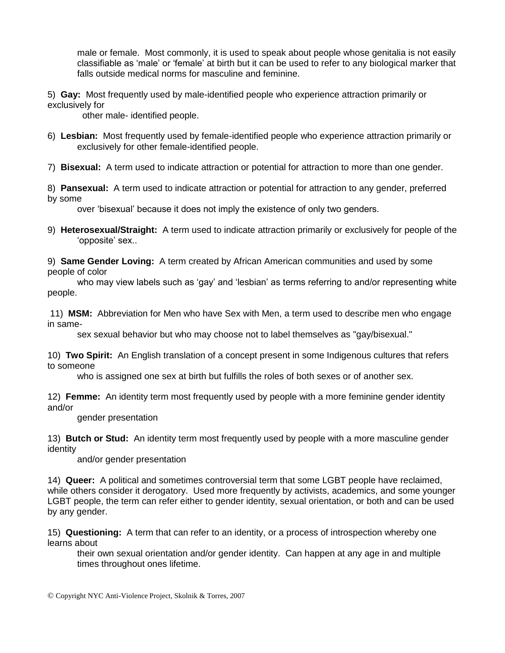male or female. Most commonly, it is used to speak about people whose genitalia is not easily classifiable as "male" or "female" at birth but it can be used to refer to any biological marker that falls outside medical norms for masculine and feminine.

5) **Gay:** Most frequently used by male-identified people who experience attraction primarily or exclusively for

other male- identified people.

- 6) **Lesbian:** Most frequently used by female-identified people who experience attraction primarily or exclusively for other female-identified people.
- 7) **Bisexual:** A term used to indicate attraction or potential for attraction to more than one gender.
- 8) **Pansexual:** A term used to indicate attraction or potential for attraction to any gender, preferred by some

over "bisexual" because it does not imply the existence of only two genders.

9) **Heterosexual/Straight:** A term used to indicate attraction primarily or exclusively for people of the 'opposite' sex..

9) **Same Gender Loving:** A term created by African American communities and used by some people of color

who may view labels such as 'gay' and 'lesbian' as terms referring to and/or representing white people.

11) **MSM:** Abbreviation for Men who have Sex with Men, a term used to describe men who engage in same-

sex sexual behavior but who may choose not to label themselves as "gay/bisexual."

10) **Two Spirit:** An English translation of a concept present in some Indigenous cultures that refers to someone

who is assigned one sex at birth but fulfills the roles of both sexes or of another sex.

12) **Femme:** An identity term most frequently used by people with a more feminine gender identity and/or

gender presentation

13) **Butch or Stud:** An identity term most frequently used by people with a more masculine gender identity

and/or gender presentation

14) **Queer:** A political and sometimes controversial term that some LGBT people have reclaimed, while others consider it derogatory. Used more frequently by activists, academics, and some younger LGBT people, the term can refer either to gender identity, sexual orientation, or both and can be used by any gender.

15) **Questioning:** A term that can refer to an identity, or a process of introspection whereby one learns about

their own sexual orientation and/or gender identity. Can happen at any age in and multiple times throughout ones lifetime.